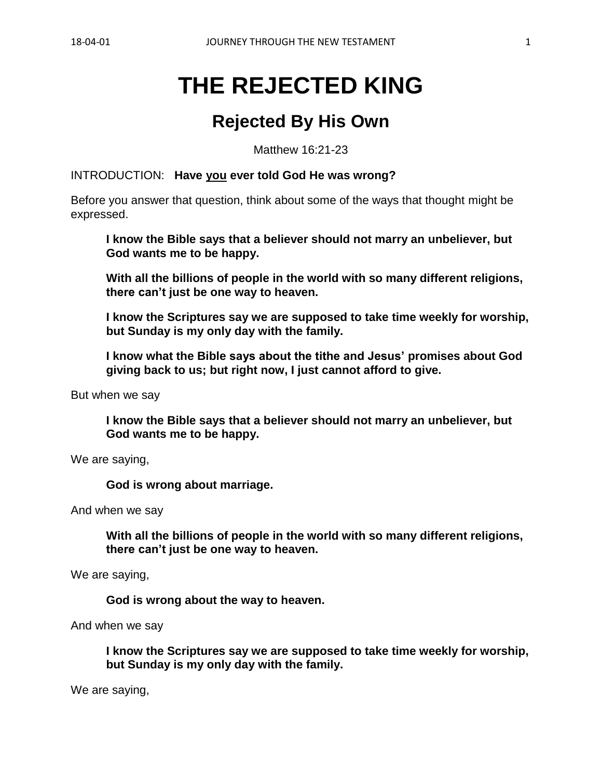# **THE REJECTED KING**

# **Rejected By His Own**

Matthew 16:21-23

INTRODUCTION: **Have you ever told God He was wrong?**

Before you answer that question, think about some of the ways that thought might be expressed.

**I know the Bible says that a believer should not marry an unbeliever, but God wants me to be happy.**

**With all the billions of people in the world with so many different religions, there can't just be one way to heaven.**

**I know the Scriptures say we are supposed to take time weekly for worship, but Sunday is my only day with the family.**

**I know what the Bible says about the tithe and Jesus' promises about God giving back to us; but right now, I just cannot afford to give.**

But when we say

**I know the Bible says that a believer should not marry an unbeliever, but God wants me to be happy.**

We are saying,

**God is wrong about marriage.**

And when we say

**With all the billions of people in the world with so many different religions, there can't just be one way to heaven.**

We are saying,

**God is wrong about the way to heaven.**

And when we say

**I know the Scriptures say we are supposed to take time weekly for worship, but Sunday is my only day with the family.**

We are saying,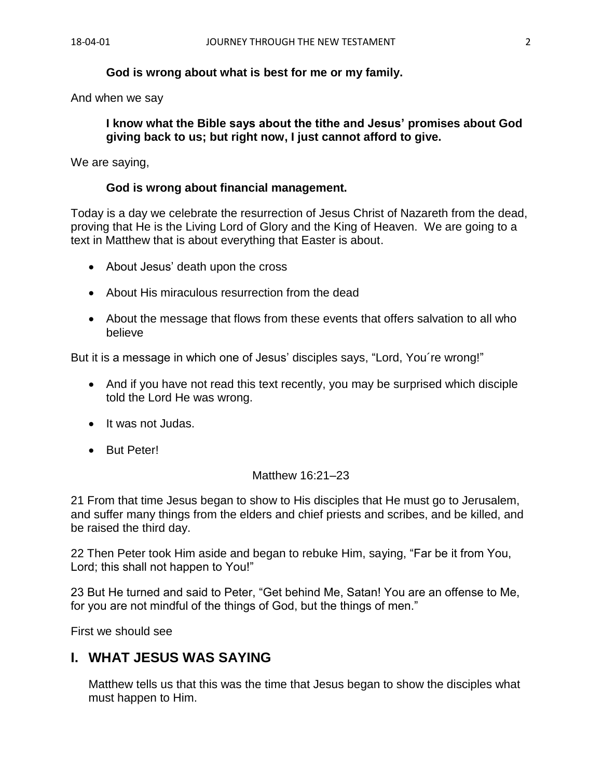#### **God is wrong about what is best for me or my family.**

And when we say

**I know what the Bible says about the tithe and Jesus' promises about God giving back to us; but right now, I just cannot afford to give.**

We are saying,

#### **God is wrong about financial management.**

Today is a day we celebrate the resurrection of Jesus Christ of Nazareth from the dead, proving that He is the Living Lord of Glory and the King of Heaven. We are going to a text in Matthew that is about everything that Easter is about.

- About Jesus' death upon the cross
- About His miraculous resurrection from the dead
- About the message that flows from these events that offers salvation to all who believe

But it is a message in which one of Jesus' disciples says, "Lord, You´re wrong!"

- And if you have not read this text recently, you may be surprised which disciple told the Lord He was wrong.
- It was not Judas.
- But Peter!

#### Matthew 16:21–23

21 From that time Jesus began to show to His disciples that He must go to Jerusalem, and suffer many things from the elders and chief priests and scribes, and be killed, and be raised the third day.

22 Then Peter took Him aside and began to rebuke Him, saying, "Far be it from You, Lord; this shall not happen to You!"

23 But He turned and said to Peter, "Get behind Me, Satan! You are an offense to Me, for you are not mindful of the things of God, but the things of men."

First we should see

#### **I. WHAT JESUS WAS SAYING**

Matthew tells us that this was the time that Jesus began to show the disciples what must happen to Him.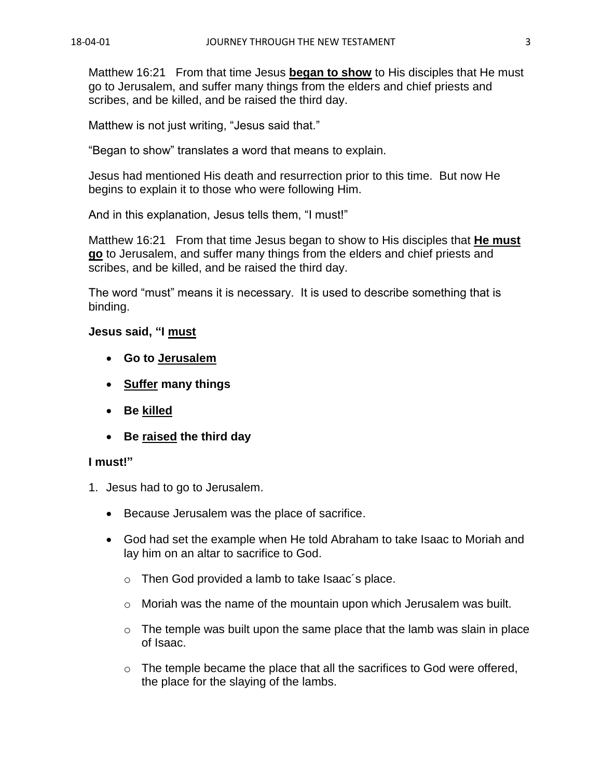Matthew 16:21 From that time Jesus **began to show** to His disciples that He must go to Jerusalem, and suffer many things from the elders and chief priests and scribes, and be killed, and be raised the third day.

Matthew is not just writing, "Jesus said that."

"Began to show" translates a word that means to explain.

Jesus had mentioned His death and resurrection prior to this time. But now He begins to explain it to those who were following Him.

And in this explanation, Jesus tells them, "I must!"

Matthew 16:21 From that time Jesus began to show to His disciples that **He must go** to Jerusalem, and suffer many things from the elders and chief priests and scribes, and be killed, and be raised the third day.

The word "must" means it is necessary. It is used to describe something that is binding.

## **Jesus said, "I must**

- **Go to Jerusalem**
- **Suffer many things**
- **Be killed**
- **Be raised the third day**

#### **I must!"**

- 1. Jesus had to go to Jerusalem.
	- Because Jerusalem was the place of sacrifice.
	- God had set the example when He told Abraham to take Isaac to Moriah and lay him on an altar to sacrifice to God.
		- o Then God provided a lamb to take Isaac´s place.
		- $\circ$  Moriah was the name of the mountain upon which Jerusalem was built.
		- $\circ$  The temple was built upon the same place that the lamb was slain in place of Isaac.
		- $\circ$  The temple became the place that all the sacrifices to God were offered, the place for the slaying of the lambs.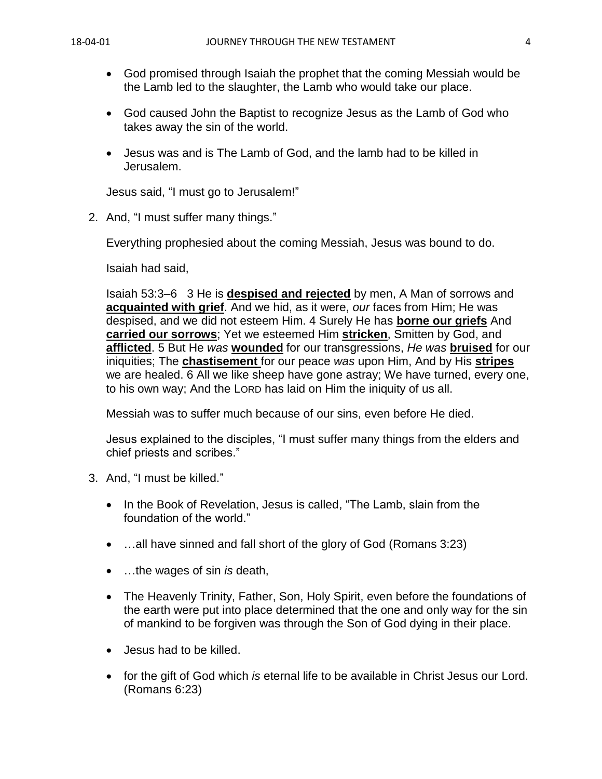- God promised through Isaiah the prophet that the coming Messiah would be the Lamb led to the slaughter, the Lamb who would take our place.
- God caused John the Baptist to recognize Jesus as the Lamb of God who takes away the sin of the world.
- Jesus was and is The Lamb of God, and the lamb had to be killed in Jerusalem.

Jesus said, "I must go to Jerusalem!"

2. And, "I must suffer many things."

Everything prophesied about the coming Messiah, Jesus was bound to do.

Isaiah had said,

Isaiah 53:3–6 3 He is **despised and rejected** by men, A Man of sorrows and **acquainted with grief**. And we hid, as it were, *our* faces from Him; He was despised, and we did not esteem Him. 4 Surely He has **borne our griefs** And **carried our sorrows**; Yet we esteemed Him **stricken**, Smitten by God, and **afflicted**. 5 But He *was* **wounded** for our transgressions, *He was* **bruised** for our iniquities; The **chastisement** for our peace *was* upon Him, And by His **stripes** we are healed. 6 All we like sheep have gone astray; We have turned, every one, to his own way; And the LORD has laid on Him the iniquity of us all.

Messiah was to suffer much because of our sins, even before He died.

Jesus explained to the disciples, "I must suffer many things from the elders and chief priests and scribes."

- 3. And, "I must be killed."
	- In the Book of Revelation, Jesus is called, "The Lamb, slain from the foundation of the world."
	- ...all have sinned and fall short of the glory of God (Romans 3:23)
	- …the wages of sin *is* death,
	- The Heavenly Trinity, Father, Son, Holy Spirit, even before the foundations of the earth were put into place determined that the one and only way for the sin of mankind to be forgiven was through the Son of God dying in their place.
	- Jesus had to be killed.
	- for the gift of God which *is* eternal life to be available in Christ Jesus our Lord. (Romans 6:23)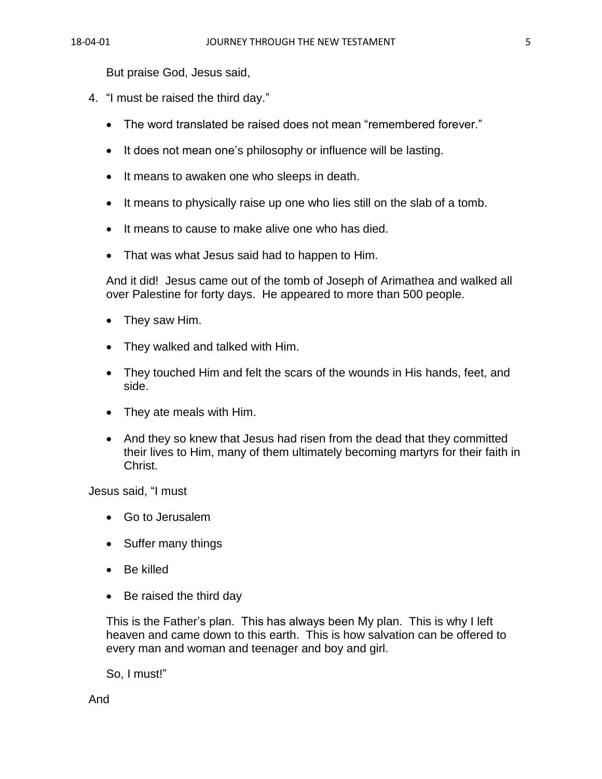But praise God, Jesus said,

- 4. "I must be raised the third day."
	- The word translated be raised does not mean "remembered forever."
	- It does not mean one's philosophy or influence will be lasting.
	- It means to awaken one who sleeps in death.
	- It means to physically raise up one who lies still on the slab of a tomb.
	- It means to cause to make alive one who has died.
	- That was what Jesus said had to happen to Him.

And it did! Jesus came out of the tomb of Joseph of Arimathea and walked all over Palestine for forty days. He appeared to more than 500 people.

- They saw Him.
- They walked and talked with Him.
- They touched Him and felt the scars of the wounds in His hands, feet, and side.
- They ate meals with Him.
- And they so knew that Jesus had risen from the dead that they committed their lives to Him, many of them ultimately becoming martyrs for their faith in Christ.

Jesus said, "I must

- Go to Jerusalem
- Suffer many things
- Be killed
- Be raised the third day

This is the Father's plan. This has always been My plan. This is why I left heaven and came down to this earth. This is how salvation can be offered to every man and woman and teenager and boy and girl.

So, I must!"

And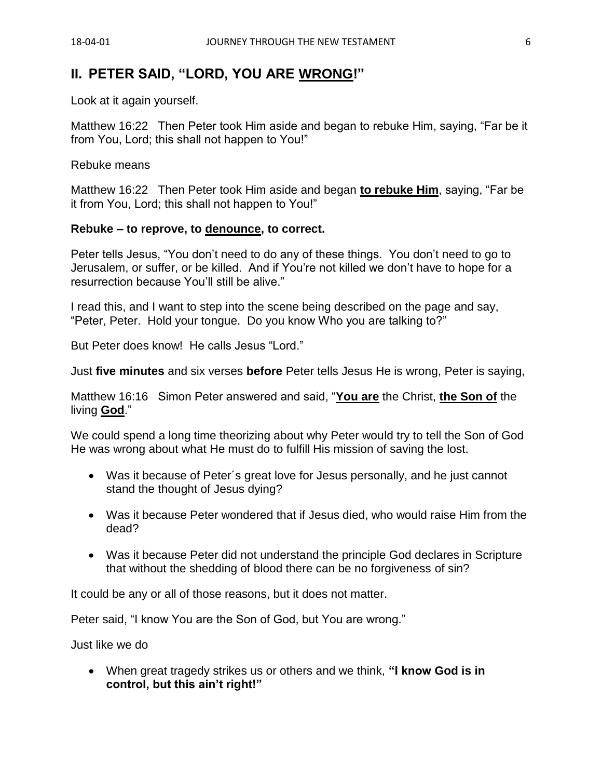## **II. PETER SAID, "LORD, YOU ARE WRONG!"**

Look at it again yourself.

Matthew 16:22 Then Peter took Him aside and began to rebuke Him, saying, "Far be it from You, Lord; this shall not happen to You!"

Rebuke means

Matthew 16:22 Then Peter took Him aside and began **to rebuke Him**, saying, "Far be it from You, Lord; this shall not happen to You!"

#### **Rebuke – to reprove, to denounce, to correct.**

Peter tells Jesus, "You don't need to do any of these things. You don't need to go to Jerusalem, or suffer, or be killed. And if You're not killed we don't have to hope for a resurrection because You'll still be alive."

I read this, and I want to step into the scene being described on the page and say, "Peter, Peter. Hold your tongue. Do you know Who you are talking to?"

But Peter does know! He calls Jesus "Lord."

Just **five minutes** and six verses **before** Peter tells Jesus He is wrong, Peter is saying,

Matthew 16:16 Simon Peter answered and said, "**You are** the Christ, **the Son of** the living **God**."

We could spend a long time theorizing about why Peter would try to tell the Son of God He was wrong about what He must do to fulfill His mission of saving the lost.

- Was it because of Peter´s great love for Jesus personally, and he just cannot stand the thought of Jesus dying?
- Was it because Peter wondered that if Jesus died, who would raise Him from the dead?
- Was it because Peter did not understand the principle God declares in Scripture that without the shedding of blood there can be no forgiveness of sin?

It could be any or all of those reasons, but it does not matter.

Peter said, "I know You are the Son of God, but You are wrong."

Just like we do

• When great tragedy strikes us or others and we think, **"I know God is in control, but this ain't right!"**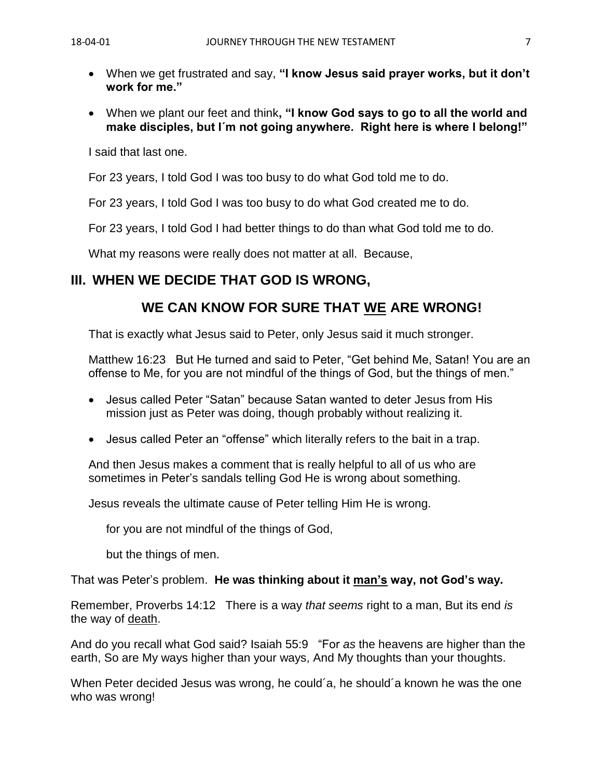- When we get frustrated and say, **"I know Jesus said prayer works, but it don't work for me."**
- When we plant our feet and think**, "I know God says to go to all the world and make disciples, but I´m not going anywhere. Right here is where I belong!"**

I said that last one.

For 23 years, I told God I was too busy to do what God told me to do.

For 23 years, I told God I was too busy to do what God created me to do.

For 23 years, I told God I had better things to do than what God told me to do.

What my reasons were really does not matter at all. Because,

# **III. WHEN WE DECIDE THAT GOD IS WRONG,**

# **WE CAN KNOW FOR SURE THAT WE ARE WRONG!**

That is exactly what Jesus said to Peter, only Jesus said it much stronger.

Matthew 16:23 But He turned and said to Peter, "Get behind Me, Satan! You are an offense to Me, for you are not mindful of the things of God, but the things of men."

- Jesus called Peter "Satan" because Satan wanted to deter Jesus from His mission just as Peter was doing, though probably without realizing it.
- Jesus called Peter an "offense" which literally refers to the bait in a trap.

And then Jesus makes a comment that is really helpful to all of us who are sometimes in Peter's sandals telling God He is wrong about something.

Jesus reveals the ultimate cause of Peter telling Him He is wrong.

for you are not mindful of the things of God,

but the things of men.

That was Peter's problem. **He was thinking about it man's way, not God's way.**

Remember, Proverbs 14:12 There is a way *that seems* right to a man, But its end *is* the way of death.

And do you recall what God said? Isaiah 55:9 "For *as* the heavens are higher than the earth, So are My ways higher than your ways, And My thoughts than your thoughts.

When Peter decided Jesus was wrong, he could´a, he should´a known he was the one who was wrong!